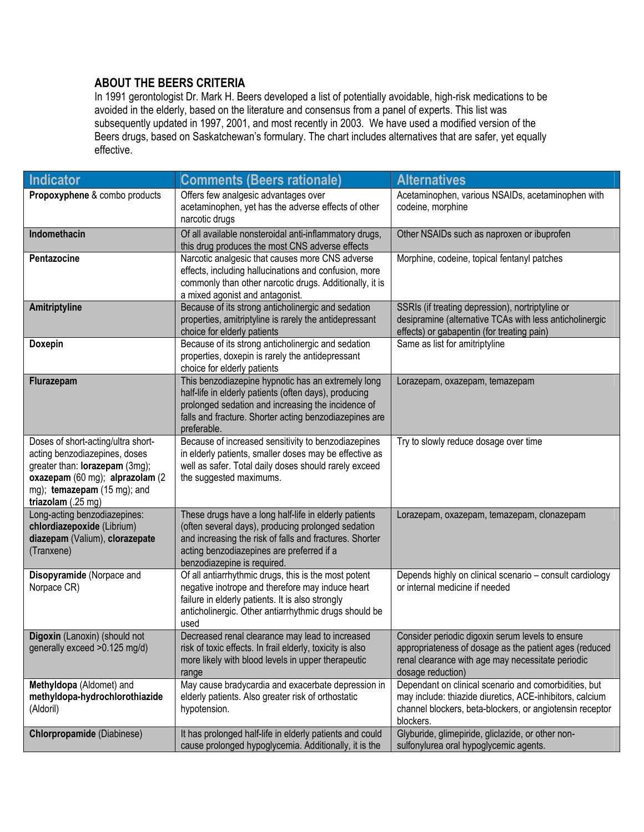## **ABOUT THE BEERS CRITERIA**

In 1991 gerontologist Dr. Mark H. Beers developed a list of potentially avoidable, high-risk medications to be avoided in the elderly, based on the literature and consensus from a panel of experts. This list was subsequently updated in 1997, 2001, and most recently in 2003. We have used a modified version of the Beers drugs, based on Saskatchewan's formulary. The chart includes alternatives that are safer, yet equally effective.

| <b>Indicator</b>                                                                                                                                                                              | <b>Comments (Beers rationale)</b>                                                                                                                                                                                                                  | <b>Alternatives</b>                                                                                                                                                                        |
|-----------------------------------------------------------------------------------------------------------------------------------------------------------------------------------------------|----------------------------------------------------------------------------------------------------------------------------------------------------------------------------------------------------------------------------------------------------|--------------------------------------------------------------------------------------------------------------------------------------------------------------------------------------------|
| Propoxyphene & combo products                                                                                                                                                                 | Offers few analgesic advantages over<br>acetaminophen, yet has the adverse effects of other<br>narcotic drugs                                                                                                                                      | Acetaminophen, various NSAIDs, acetaminophen with<br>codeine, morphine                                                                                                                     |
| Indomethacin                                                                                                                                                                                  | Of all available nonsteroidal anti-inflammatory drugs,<br>this drug produces the most CNS adverse effects                                                                                                                                          | Other NSAIDs such as naproxen or ibuprofen                                                                                                                                                 |
| Pentazocine                                                                                                                                                                                   | Narcotic analgesic that causes more CNS adverse<br>effects, including hallucinations and confusion, more<br>commonly than other narcotic drugs. Additionally, it is<br>a mixed agonist and antagonist.                                             | Morphine, codeine, topical fentanyl patches                                                                                                                                                |
| Amitriptyline                                                                                                                                                                                 | Because of its strong anticholinergic and sedation<br>properties, amitriptyline is rarely the antidepressant<br>choice for elderly patients                                                                                                        | SSRIs (if treating depression), nortriptyline or<br>desipramine (alternative TCAs with less anticholinergic<br>effects) or gabapentin (for treating pain)                                  |
| <b>Doxepin</b>                                                                                                                                                                                | Because of its strong anticholinergic and sedation<br>properties, doxepin is rarely the antidepressant<br>choice for elderly patients                                                                                                              | Same as list for amitriptyline                                                                                                                                                             |
| Flurazepam                                                                                                                                                                                    | This benzodiazepine hypnotic has an extremely long<br>half-life in elderly patients (often days), producing<br>prolonged sedation and increasing the incidence of<br>falls and fracture. Shorter acting benzodiazepines are<br>preferable.         | Lorazepam, oxazepam, temazepam                                                                                                                                                             |
| Doses of short-acting/ultra short-<br>acting benzodiazepines, doses<br>greater than: lorazepam (3mg);<br>oxazepam (60 mg); alprazolam (2<br>mg); temazepam (15 mg); and<br>triazolam (.25 mg) | Because of increased sensitivity to benzodiazepines<br>in elderly patients, smaller doses may be effective as<br>well as safer. Total daily doses should rarely exceed<br>the suggested maximums.                                                  | Try to slowly reduce dosage over time                                                                                                                                                      |
| Long-acting benzodiazepines:<br>chlordiazepoxide (Librium)<br>diazepam (Valium), clorazepate<br>(Tranxene)                                                                                    | These drugs have a long half-life in elderly patients<br>(often several days), producing prolonged sedation<br>and increasing the risk of falls and fractures. Shorter<br>acting benzodiazepines are preferred if a<br>benzodiazepine is required. | Lorazepam, oxazepam, temazepam, clonazepam                                                                                                                                                 |
| Disopyramide (Norpace and<br>Norpace CR)                                                                                                                                                      | Of all antiarrhythmic drugs, this is the most potent<br>negative inotrope and therefore may induce heart<br>failure in elderly patients. It is also strongly<br>anticholinergic. Other antiarrhythmic drugs should be<br>used                      | Depends highly on clinical scenario - consult cardiology<br>or internal medicine if needed                                                                                                 |
| Digoxin (Lanoxin) (should not<br>generally exceed > 0.125 mg/d)                                                                                                                               | Decreased renal clearance may lead to increased<br>risk of toxic effects. In frail elderly, toxicity is also<br>more likely with blood levels in upper therapeutic<br>range                                                                        | Consider periodic digoxin serum levels to ensure<br>appropriateness of dosage as the patient ages (reduced<br>renal clearance with age may necessitate periodic<br>dosage reduction)       |
| Methyldopa (Aldomet) and<br>methyldopa-hydrochlorothiazide<br>(Aldoril)                                                                                                                       | May cause bradycardia and exacerbate depression in<br>elderly patients. Also greater risk of orthostatic<br>hypotension.                                                                                                                           | Dependant on clinical scenario and comorbidities, but<br>may include: thiazide diuretics, ACE-inhibitors, calcium<br>channel blockers, beta-blockers, or angiotensin receptor<br>blockers. |
| <b>Chlorpropamide</b> (Diabinese)                                                                                                                                                             | It has prolonged half-life in elderly patients and could<br>cause prolonged hypoglycemia. Additionally, it is the                                                                                                                                  | Glyburide, glimepiride, gliclazide, or other non-<br>sulfonylurea oral hypoglycemic agents.                                                                                                |